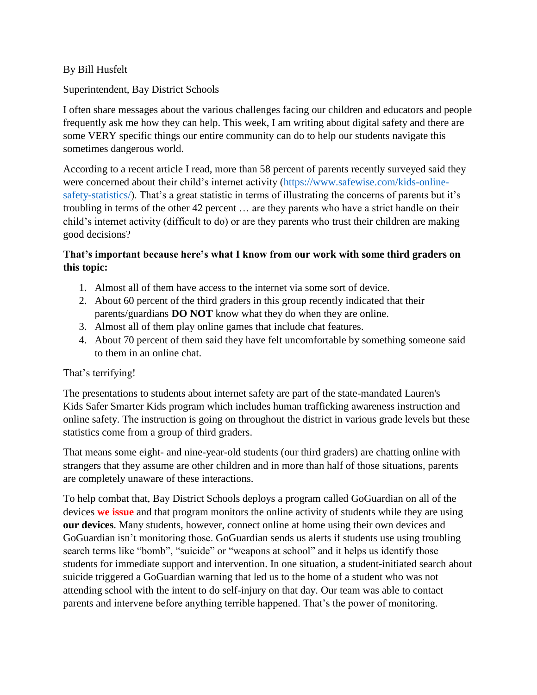## By Bill Husfelt

Superintendent, Bay District Schools

I often share messages about the various challenges facing our children and educators and people frequently ask me how they can help. This week, I am writing about digital safety and there are some VERY specific things our entire community can do to help our students navigate this sometimes dangerous world.

According to a recent article I read, more than 58 percent of parents recently surveyed said they were concerned about their child's internet activity [\(https://www.safewise.com/kids-online](https://www.safewise.com/kids-online-safety-statistics/)[safety-statistics/\)](https://www.safewise.com/kids-online-safety-statistics/). That's a great statistic in terms of illustrating the concerns of parents but it's troubling in terms of the other 42 percent … are they parents who have a strict handle on their child's internet activity (difficult to do) or are they parents who trust their children are making good decisions?

## **That's important because here's what I know from our work with some third graders on this topic:**

- 1. Almost all of them have access to the internet via some sort of device.
- 2. About 60 percent of the third graders in this group recently indicated that their parents/guardians **DO NOT** know what they do when they are online.
- 3. Almost all of them play online games that include chat features.
- 4. About 70 percent of them said they have felt uncomfortable by something someone said to them in an online chat.

## That's terrifying!

The presentations to students about internet safety are part of the state-mandated Lauren's Kids Safer Smarter Kids program which includes human trafficking awareness instruction and online safety. The instruction is going on throughout the district in various grade levels but these statistics come from a group of third graders.

That means some eight- and nine-year-old students (our third graders) are chatting online with strangers that they assume are other children and in more than half of those situations, parents are completely unaware of these interactions.

To help combat that, Bay District Schools deploys a program called GoGuardian on all of the devices **we issue** and that program monitors the online activity of students while they are using **our devices**. Many students, however, connect online at home using their own devices and GoGuardian isn't monitoring those. GoGuardian sends us alerts if students use using troubling search terms like "bomb", "suicide" or "weapons at school" and it helps us identify those students for immediate support and intervention. In one situation, a student-initiated search about suicide triggered a GoGuardian warning that led us to the home of a student who was not attending school with the intent to do self-injury on that day. Our team was able to contact parents and intervene before anything terrible happened. That's the power of monitoring.